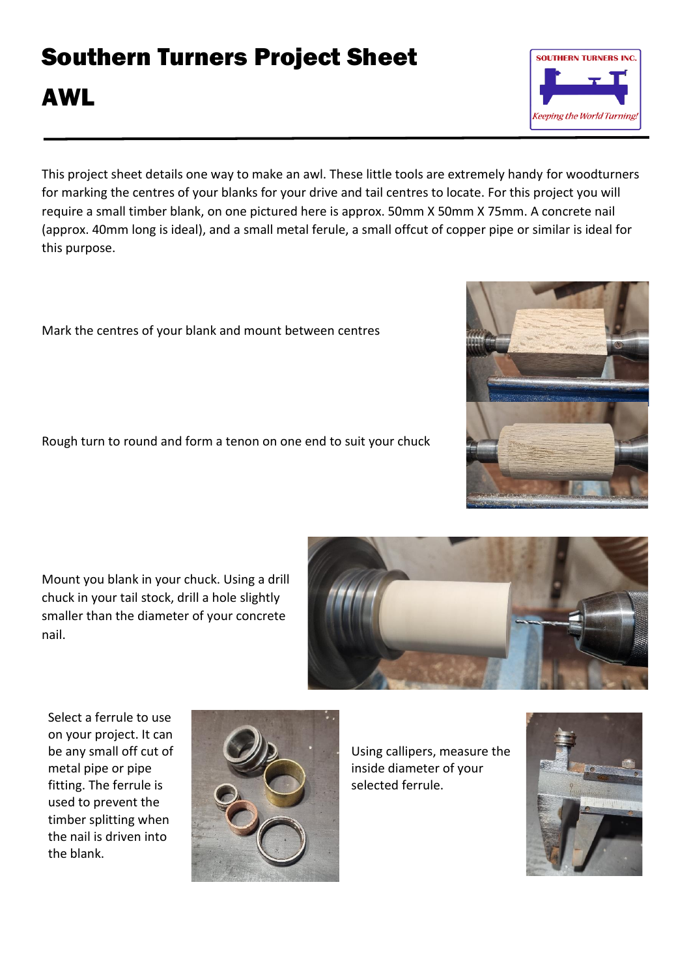## Southern Turners Project Sheet

## AWL

This project sheet details one way to make an awl. These little tools are extremely handy for woodturners for marking the centres of your blanks for your drive and tail centres to locate. For this project you will require a small timber blank, on one pictured here is approx. 50mm X 50mm X 75mm. A concrete nail (approx. 40mm long is ideal), and a small metal ferule, a small offcut of copper pipe or similar is ideal for this purpose.

Mark the centres of your blank and mount between centres

Rough turn to round and form a tenon on one end to suit your chuck

Mount you blank in your chuck. Using a drill chuck in your tail stock, drill a hole slightly smaller than the diameter of your concrete nail.

Select a ferrule to use on your project. It can be any small off cut of metal pipe or pipe fitting. The ferrule is used to prevent the timber splitting when the nail is driven into the blank.



Using callipers, measure the inside diameter of your selected ferrule.